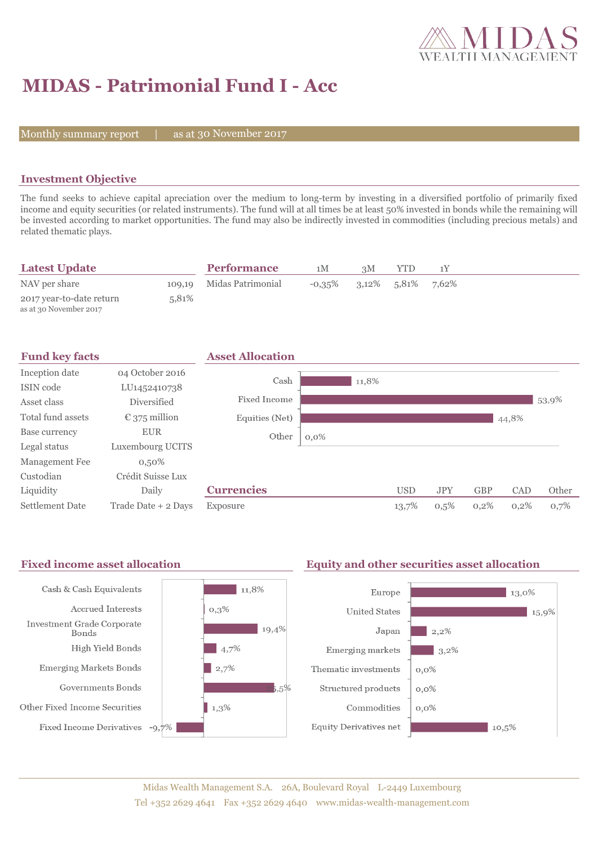

# **MIDAS - Patrimonial Fund I - Acc**

Monthly summary report  $|$ 

as at 30 November 2017

### **Investment Objective**

The fund seeks to achieve capital apreciation over the medium to long-term by investing in a diversified portfolio of primarily fixed income and equity securities (or related instruments). The fund will at all times be at least 50% invested in bonds while the remaining will be invested according to market opportunities. The fund may also be indirectly invested in commodities (including precious metals) and related thematic plays.

| <b>Latest Update</b>                               |       | <b>Performance</b>       | 1 M | 3M                                   | <b>YTD</b> |  |
|----------------------------------------------------|-------|--------------------------|-----|--------------------------------------|------------|--|
| NAV per share                                      |       | 109,19 Midas Patrimonial |     | $-0.35\%$ $3.12\%$ $5.81\%$ $7.62\%$ |            |  |
| 2017 year-to-date return<br>as at 30 November 2017 | 5.81% |                          |     |                                      |            |  |



#### Fixed income asset allocation **Equity and other securities asset allocation** Cash & Cash Equivalents  $11,8%$ Europe  $\vert$  13,0% Accrued Interests  $0,3%$ **United States**  $15,9%$ Investment Grade Corporate  $19,4%$ Japan  $2,2\%$ Bonds High Yield Bonds  $\frac{1}{4,7\%}$ Emerging markets  $3,2\%$ **Emerging Markets Bonds**  $\frac{1}{2,7\%}$ Thematic investments  $0,0\%$ Governments Bonds  $5.5%$ Structured products  $0,0\%$ Other Fixed Income Securities  $1,3%$ Commodities  $0.0\%$ Fixed Income Derivatives -9,7% **Equity Derivatives net**  $10,5%$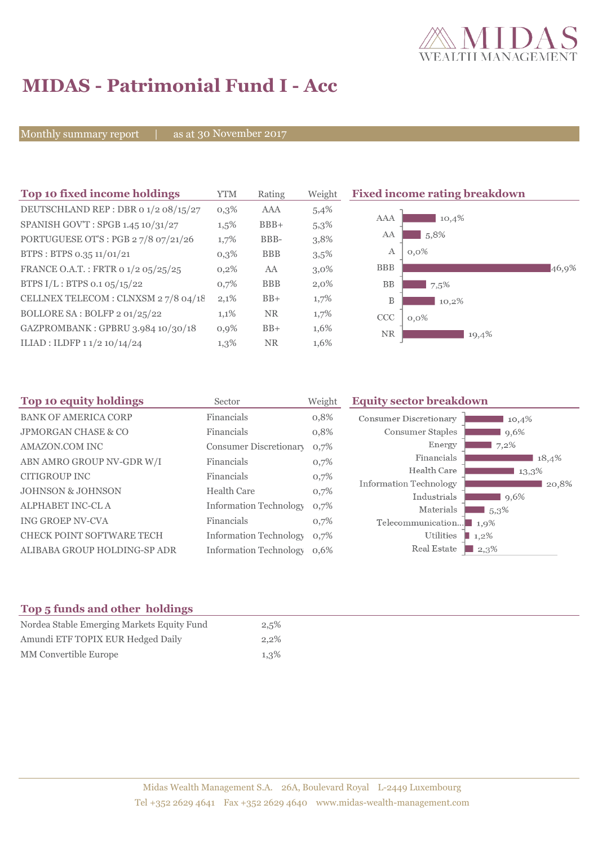

# **MIDAS - Patrimonial Fund I - Acc**

Monthly summary report | as at 30 November 2017

| Top 10 fixed income holdings         | <b>YTM</b> | Rating     | Weight  | <b>Fixed income rating breakdown</b> |       |
|--------------------------------------|------------|------------|---------|--------------------------------------|-------|
| DEUTSCHLAND REP : DBR 0 1/2 08/15/27 | $0,3\%$    | AAA        | 5,4%    |                                      |       |
| SPANISH GOV'T: SPGB 1.45 10/31/27    | $1,5\%$    | $BBB+$     | 5,3%    | <b>AAA</b><br>10,4%                  |       |
| PORTUGUESE OT'S : PGB 27/8 07/21/26  | 1,7%       | BBB-       | 3,8%    | 5,8%<br>AA                           |       |
| BTPS: BTPS 0.35 11/01/21             | $0,3\%$    | <b>BBB</b> | 3,5%    | А<br>$0,0\%$                         |       |
| FRANCE O.A.T.: FRTR 0 1/2 05/25/25   | $0,2\%$    | AA         | $3,0\%$ | <b>BBB</b>                           | 46,9% |
| BTPS $I/L$ : BTPS 0.1 05/15/22       | 0,7%       | <b>BBB</b> | $2,0\%$ | BB<br>7,5%                           |       |
| CELLNEX TELECOM : CLNXSM 27/8 04/18  | 2,1%       | $BB+$      | 1,7%    | B<br>10,2%                           |       |
| BOLLORE SA: BOLFP 2 01/25/22         | 1,1%       | <b>NR</b>  | 1,7%    | CCC<br>$0,0\%$                       |       |
| GAZPROMBANK: GPBRU 3.984 10/30/18    | 0,9%       | $BB+$      | 1,6%    | <b>NR</b><br>19,4%                   |       |
| ILIAD : ILDFP $11/210/14/24$         | $1,3\%$    | <b>NR</b>  | 1,6%    |                                      |       |

| 10,4% |
|-------|
| 9,6%  |
|       |
| 18,4% |
| 13,3% |
| 20,8% |
| 9,6%  |
|       |
|       |
|       |
|       |

## **Top 5 funds and other holdings**

| Nordea Stable Emerging Markets Equity Fund | 2,5%    |
|--------------------------------------------|---------|
| Amundi ETF TOPIX EUR Hedged Daily          | $2.2\%$ |
| MM Convertible Europe                      | 1,3%    |